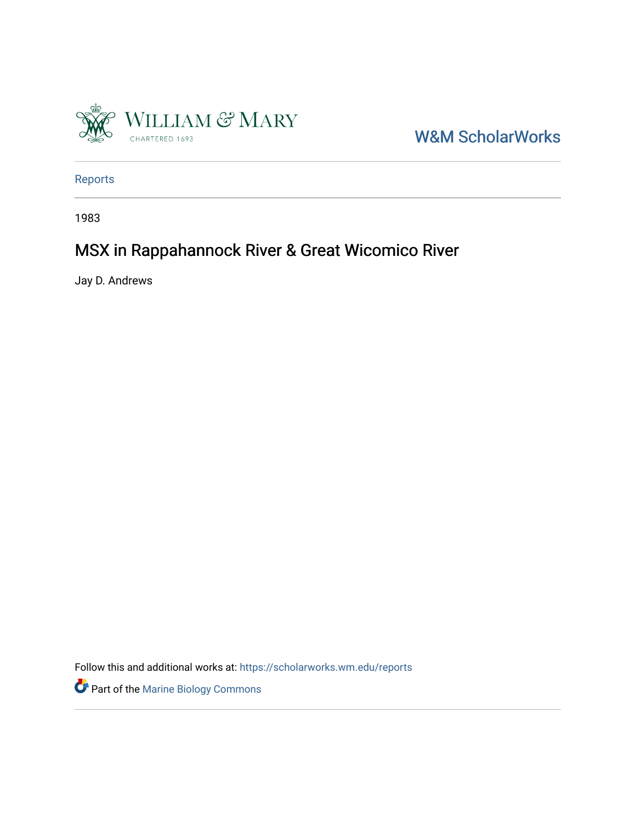

W&M ScholarWorks

[Reports](https://scholarworks.wm.edu/reports)

1983

## MSX in Rappahannock River & Great Wicomico River

Jay D. Andrews

Follow this and additional works at: [https://scholarworks.wm.edu/reports](https://scholarworks.wm.edu/reports?utm_source=scholarworks.wm.edu%2Freports%2F2765&utm_medium=PDF&utm_campaign=PDFCoverPages)

Part of the [Marine Biology Commons](https://network.bepress.com/hgg/discipline/1126?utm_source=scholarworks.wm.edu%2Freports%2F2765&utm_medium=PDF&utm_campaign=PDFCoverPages)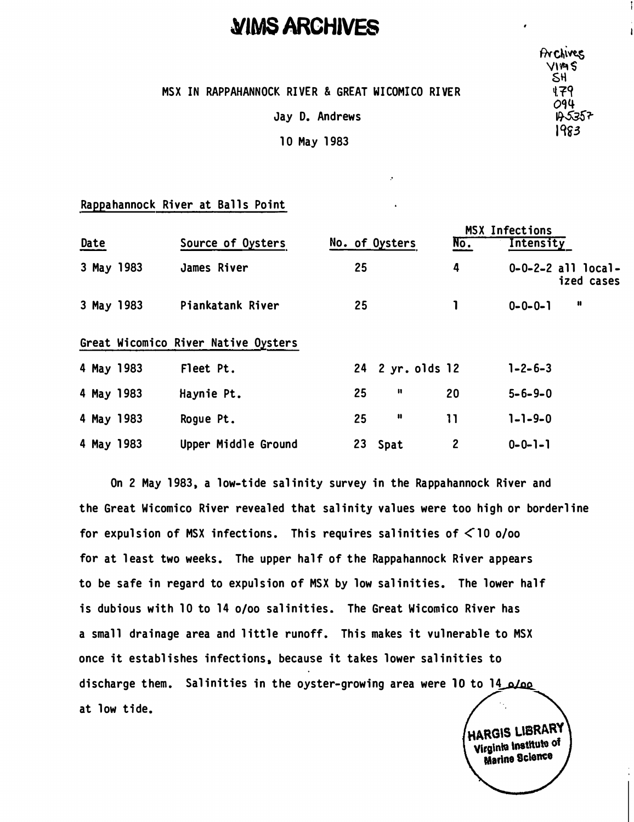## **�tMS ARCHIVES** ,

MSX IN RAPPAHANNOCK RIVER & GREAT WICOMICO RIVER

Jay D. Andrews

10 May 1983

## Rappahannock River at Balls Point

| Date       |  | Source of Oysters                   | No. of Oysters |    |                  | No. | <b>MSX Infections</b><br>Intensity |                                          |
|------------|--|-------------------------------------|----------------|----|------------------|-----|------------------------------------|------------------------------------------|
| 3 May 1983 |  | James River                         |                | 25 |                  | 4   |                                    | $0 - 0 - 2 - 2$ all local-<br>ized cases |
| 3 May 1983 |  | Piankatank River                    |                | 25 |                  |     | $0 - 0 - 0 - 1$                    | n                                        |
|            |  | Great Wicomico River Native Oysters |                |    |                  |     |                                    |                                          |
| 4 May 1983 |  | Fleet Pt.                           |                |    | 24 2 yr. olds 12 |     | $1 - 2 - 6 - 3$                    |                                          |
| 4 May 1983 |  | Haynie Pt.                          |                | 25 | И                | 20  | $5 - 6 - 9 - 0$                    |                                          |
| 4 May 1983 |  | Rogue Pt.                           |                | 25 | $\mathbf{u}$     | 11  | $1 - 1 - 9 - 0$                    |                                          |
|            |  |                                     |                |    |                  |     |                                    |                                          |

On 2 May 1983, a low-tide salinity survey in the Rappahannock River and the Great Wicomico River revealed that salinity values were too high or borderline for expulsion of MSX infections. This requires salinities of  $\leq 10$  o/oo for at least two weeks. The upper half of the Rappahannock River appears to be safe in regard to expulsion of MSX by low salinities. The lower half is dubious with 10 to 14 o/oo salinities. The Great Wicomico River has a small drainage area and little runoff. This makes it vulnerable to MSX once it establishes infections, because it takes lower salinities to discharge them. Salinities in the oyster-growing area were 10 to 14 o/oo at low tide.

4 May 1983 Upper Middle Ground 23 Spat 2 0-0-1-1

HARGIS LIBRARY Virginia Institute of Marine Science

**Frichives**  $V$  $M$ s S\1